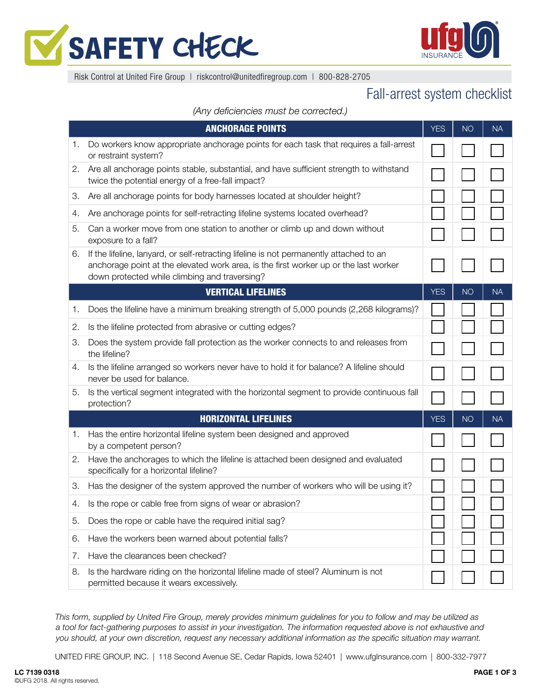



Risk Control at United Fire Group | riskcontrol@unitedfiregroup.com | 800-828-2705

## Fall-arrest system checklist

*(Any deficiencies must be corrected.)*

| <b>ANCHORAGE POINTS</b> |                                                                                                                                                                                                                                  | <b>YES</b> | <b>NO</b> | <b>NA</b> |
|-------------------------|----------------------------------------------------------------------------------------------------------------------------------------------------------------------------------------------------------------------------------|------------|-----------|-----------|
| 1.                      | Do workers know appropriate anchorage points for each task that requires a fall-arrest<br>or restraint system?                                                                                                                   |            |           |           |
| 2.                      | Are all anchorage points stable, substantial, and have sufficient strength to withstand<br>twice the potential energy of a free-fall impact?                                                                                     |            |           |           |
| 3.                      | Are all anchorage points for body harnesses located at shoulder height?                                                                                                                                                          |            |           |           |
| 4.                      | Are anchorage points for self-retracting lifeline systems located overhead?                                                                                                                                                      |            |           |           |
| 5.                      | Can a worker move from one station to another or climb up and down without<br>exposure to a fall?                                                                                                                                |            |           |           |
| 6.                      | If the lifeline, lanyard, or self-retracting lifeline is not permanently attached to an<br>anchorage point at the elevated work area, is the first worker up or the last worker<br>down protected while climbing and traversing? |            |           |           |
|                         | <b>VERTICAL LIFELINES</b>                                                                                                                                                                                                        | <b>YES</b> | <b>NO</b> | <b>NA</b> |
| 1.                      | Does the lifeline have a minimum breaking strength of 5,000 pounds (2,268 kilograms)?                                                                                                                                            |            |           |           |
| 2.                      | Is the lifeline protected from abrasive or cutting edges?                                                                                                                                                                        |            |           |           |
| 3.                      | Does the system provide fall protection as the worker connects to and releases from<br>the lifeline?                                                                                                                             |            |           |           |
| 4.                      | Is the lifeline arranged so workers never have to hold it for balance? A lifeline should<br>never be used for balance.                                                                                                           |            |           |           |
| 5.                      | Is the vertical segment integrated with the horizontal segment to provide continuous fall<br>protection?                                                                                                                         |            |           |           |
|                         | <b>HORIZONTAL LIFELINES</b>                                                                                                                                                                                                      | <b>YES</b> | <b>NO</b> | <b>NA</b> |
| 1.                      | Has the entire horizontal lifeline system been designed and approved<br>by a competent person?                                                                                                                                   |            |           |           |
| 2.                      | Have the anchorages to which the lifeline is attached been designed and evaluated<br>specifically for a horizontal lifeline?                                                                                                     |            |           |           |
| 3.                      | Has the designer of the system approved the number of workers who will be using it?                                                                                                                                              |            |           |           |
| 4.                      | Is the rope or cable free from signs of wear or abrasion?                                                                                                                                                                        |            |           |           |
| 5.                      | Does the rope or cable have the required initial sag?                                                                                                                                                                            |            |           |           |
| 6.                      | Have the workers been warned about potential falls?                                                                                                                                                                              |            |           |           |
| 7.                      | Have the clearances been checked?                                                                                                                                                                                                |            |           |           |
| 8.                      | Is the hardware riding on the horizontal lifeline made of steel? Aluminum is not<br>permitted because it wears excessively.                                                                                                      |            |           |           |

*This form, supplied by United Fire Group, merely provides minimum guidelines for you to follow and may be utilized as a tool for fact-gathering purposes to assist in your investigation. The information requested above is not exhaustive and you should, at your own discretion, request any necessary additional information as the specific situation may warrant.*

UNITED FIRE GROUP, INC. | 118 Second Avenue SE, Cedar Rapids, Iowa 52401 | www.ufgInsurance.com | 800-332-7977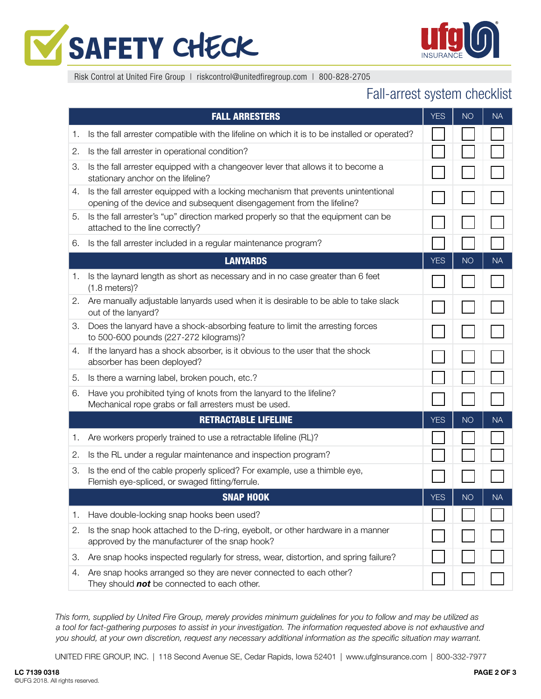



Risk Control at United Fire Group | riskcontrol@unitedfiregroup.com | 800-828-2705

## Fall-arrest system checklist

|    | <b>FALL ARRESTERS</b>                                                                                                                                       | <b>YES</b> | <b>NO</b> | <b>NA</b> |
|----|-------------------------------------------------------------------------------------------------------------------------------------------------------------|------------|-----------|-----------|
| 1. | Is the fall arrester compatible with the lifeline on which it is to be installed or operated?                                                               |            |           |           |
| 2. | Is the fall arrester in operational condition?                                                                                                              |            |           |           |
| 3. | Is the fall arrester equipped with a changeover lever that allows it to become a<br>stationary anchor on the lifeline?                                      |            |           |           |
| 4. | Is the fall arrester equipped with a locking mechanism that prevents unintentional<br>opening of the device and subsequent disengagement from the lifeline? |            |           |           |
| 5. | Is the fall arrester's "up" direction marked properly so that the equipment can be<br>attached to the line correctly?                                       |            |           |           |
| 6. | Is the fall arrester included in a regular maintenance program?                                                                                             |            |           |           |
|    | <b>LANYARDS</b>                                                                                                                                             | <b>YES</b> | <b>NO</b> | <b>NA</b> |
| 1. | Is the laynard length as short as necessary and in no case greater than 6 feet<br>$(1.8$ meters)?                                                           |            |           |           |
| 2. | Are manually adjustable lanyards used when it is desirable to be able to take slack<br>out of the lanyard?                                                  |            |           |           |
| З. | Does the lanyard have a shock-absorbing feature to limit the arresting forces<br>to 500-600 pounds (227-272 kilograms)?                                     |            |           |           |
| 4. | If the lanyard has a shock absorber, is it obvious to the user that the shock<br>absorber has been deployed?                                                |            |           |           |
| 5. | Is there a warning label, broken pouch, etc.?                                                                                                               |            |           |           |
| 6. | Have you prohibited tying of knots from the lanyard to the lifeline?<br>Mechanical rope grabs or fall arresters must be used.                               |            |           |           |
|    | <b>RETRACTABLE LIFELINE</b>                                                                                                                                 | <b>YES</b> | <b>NO</b> | <b>NA</b> |
| 1. | Are workers properly trained to use a retractable lifeline (RL)?                                                                                            |            |           |           |
| 2. | Is the RL under a regular maintenance and inspection program?                                                                                               |            |           |           |
| 3. | Is the end of the cable properly spliced? For example, use a thimble eye,<br>Flemish eye-spliced, or swaged fitting/ferrule.                                |            |           |           |
|    | <b>SNAP HOOK</b>                                                                                                                                            | <b>YES</b> | <b>NO</b> | <b>NA</b> |
| 1. | Have double-locking snap hooks been used?                                                                                                                   |            |           |           |
| 2. | Is the snap hook attached to the D-ring, eyebolt, or other hardware in a manner<br>approved by the manufacturer of the snap hook?                           |            |           |           |
| З. | Are snap hooks inspected regularly for stress, wear, distortion, and spring failure?                                                                        |            |           |           |
| 4. | Are snap hooks arranged so they are never connected to each other?<br>They should not be connected to each other.                                           |            |           |           |

*This form, supplied by United Fire Group, merely provides minimum guidelines for you to follow and may be utilized as a tool for fact-gathering purposes to assist in your investigation. The information requested above is not exhaustive and you should, at your own discretion, request any necessary additional information as the specific situation may warrant.*

UNITED FIRE GROUP, INC. | 118 Second Avenue SE, Cedar Rapids, Iowa 52401 | www.ufgInsurance.com | 800-332-7977